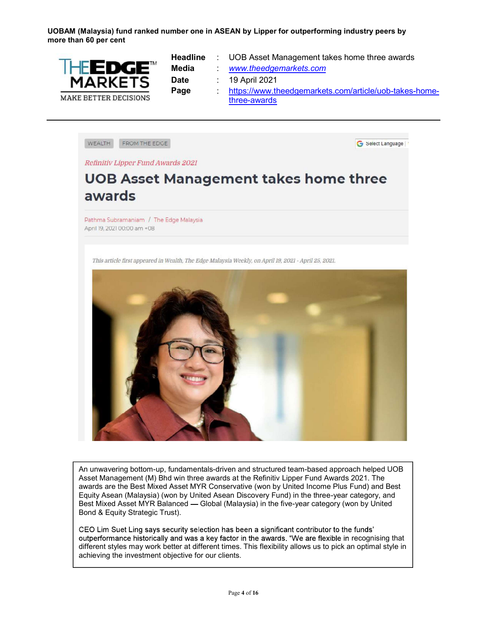UOBAM (Malaysia) fund ranked number one in ASEAN by Lipper for outperforming industry peers by more than 60 per cent



|       | <b>Headline</b> : UOB Asset Management takes home three awards |
|-------|----------------------------------------------------------------|
| Media | www.theedgemarkets.com                                         |
| Date  | . 19 April 2021                                                |
| Page  | https://www.theedgemarkets.com/article/uob-takes-home-         |
|       | three-awards                                                   |

WEALTH FROM THE EDGE G Select Language

Refinitiv Lipper Fund Awards 2021

## **UOB Asset Management takes home three**<br>awards

Pathma Subramaniam / The Edge Malaysia April 19, 2021 00:00 am +08

This article first appeared in Wealth, The Edge Malaysia Weekly, on April 19, 2021 - April 25, 2021.



An unwavering bottom-up, fundamentals-driven and structured team-based approach helped UOB Asset Management (M) Bhd win three awards at the Refinitiv Lipper Fund Awards 2021. The awards are the Best Mixed Asset MYR Conservative (won by United Income Plus Fund) and Best Equity Asean (Malaysia) (won by United Asean Discovery Fund) in the three-year category, and Best Mixed Asset MYR Balanced — Global (Malaysia) in the five-year category (won by United Bond & Equity Strategic Trust).

CEO Lim Suet Ling says security selection has been a significant contributor to the funds' outperformance historically and was a key factor in the awards. "We are flexible in recognising that different styles may work better at different times. This flexibility allows us to pick an optimal style in achieving the investment objective for our clients.